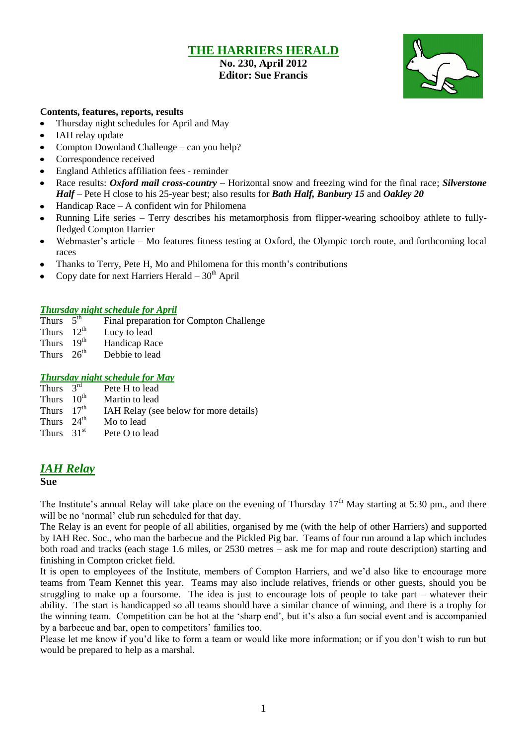### **THE HARRIERS HERALD**

### **No. 230, April 2012 Editor: Sue Francis**



#### **Contents, features, reports, results**

- Thursday night schedules for April and May
- $\bullet$ IAH relay update
- Compton Downland Challenge can you help?  $\bullet$
- Correspondence received
- England Athletics affiliation fees reminder  $\bullet$
- Race results: *Oxford mail cross-country –* Horizontal snow and freezing wind for the final race; *Silverstone*   $\bullet$ *Half* – Pete H close to his 25-year best; also results for *Bath Half, Banbury 15* and *Oakley 20*
- Handicap Race A confident win for Philomena
- Running Life series Terry describes his metamorphosis from flipper-wearing schoolboy athlete to fullyfledged Compton Harrier
- Webmaster's article Mo features fitness testing at Oxford, the Olympic torch route, and forthcoming local  $\bullet$ races
- Thanks to Terry, Pete H, Mo and Philomena for this month's contributions
- Copy date for next Harriers Herald  $-30<sup>th</sup>$  April

#### *Thursday night schedule for April*

- Thurs  $5<sup>th</sup>$ Final preparation for Compton Challenge
- Thurs  $12^{th}$ Lucy to lead
- Thurs  $19^{th}$  Handicap Race<br>Thurs  $26^{th}$  Debbie to lead
- Debbie to lead

#### *Thursday night schedule for May*

Thurs  $3<sup>rd</sup>$ <br>Thurs  $10<sup>th</sup>$ Pete H to lead Martin to lead Thurs  $17<sup>th</sup>$  IAH Relay (see below for more details) Thurs  $24<sup>th</sup>$  Mo to lead Thurs  $31<sup>st</sup>$  Pete O to lead

### *IAH Relay*

#### **Sue**

The Institute's annual Relay will take place on the evening of Thursday  $17<sup>th</sup>$  May starting at 5:30 pm., and there will be no 'normal' club run scheduled for that day.

The Relay is an event for people of all abilities, organised by me (with the help of other Harriers) and supported by IAH Rec. Soc., who man the barbecue and the Pickled Pig bar. Teams of four run around a lap which includes both road and tracks (each stage 1.6 miles, or 2530 metres – ask me for map and route description) starting and finishing in Compton cricket field.

It is open to employees of the Institute, members of Compton Harriers, and we'd also like to encourage more teams from Team Kennet this year. Teams may also include relatives, friends or other guests, should you be struggling to make up a foursome. The idea is just to encourage lots of people to take part – whatever their ability. The start is handicapped so all teams should have a similar chance of winning, and there is a trophy for the winning team. Competition can be hot at the 'sharp end', but it's also a fun social event and is accompanied by a barbecue and bar, open to competitors' families too.

Please let me know if you'd like to form a team or would like more information; or if you don't wish to run but would be prepared to help as a marshal.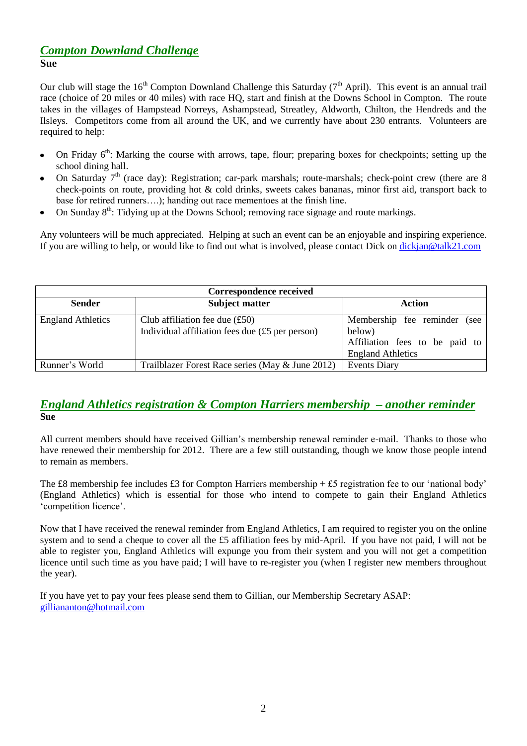### *Compton Downland Challenge* **Sue**

Our club will stage the  $16<sup>th</sup>$  Compton Downland Challenge this Saturday ( $7<sup>th</sup>$  April). This event is an annual trail race (choice of 20 miles or 40 miles) with race HQ, start and finish at the Downs School in Compton. The route takes in the villages of Hampstead Norreys, Ashampstead, Streatley, Aldworth, Chilton, the Hendreds and the Ilsleys. Competitors come from all around the UK, and we currently have about 230 entrants. Volunteers are required to help:

- On Friday 6<sup>th</sup>: Marking the course with arrows, tape, flour; preparing boxes for checkpoints; setting up the school dining hall.
- On Saturday  $7<sup>th</sup>$  (race day): Registration; car-park marshals; route-marshals; check-point crew (there are 8 check-points on route, providing hot & cold drinks, sweets cakes bananas, minor first aid, transport back to base for retired runners….); handing out race mementoes at the finish line.
- On Sunday  $8<sup>th</sup>$ : Tidying up at the Downs School; removing race signage and route markings.

Any volunteers will be much appreciated. Helping at such an event can be an enjoyable and inspiring experience. If you are willing to help, or would like to find out what is involved, please contact Dick on [dickjan@talk21.com](mailto:dickjan@talk21.com)

| <b>Correspondence received</b> |                                                                                                    |                                                                                                      |  |  |  |  |
|--------------------------------|----------------------------------------------------------------------------------------------------|------------------------------------------------------------------------------------------------------|--|--|--|--|
| <b>Sender</b>                  | <b>Subject matter</b>                                                                              | Action                                                                                               |  |  |  |  |
| <b>England Athletics</b>       | Club affiliation fee due $(\text{\pounds}50)$<br>Individual affiliation fees due $(f5$ per person) | Membership fee reminder (see<br>below)<br>Affiliation fees to be paid to<br><b>England Athletics</b> |  |  |  |  |
| Runner's World                 | Trailblazer Forest Race series (May & June 2012)                                                   | <b>Events Diary</b>                                                                                  |  |  |  |  |

### *England Athletics registration & Compton Harriers membership – another reminder* **Sue**

All current members should have received Gillian's membership renewal reminder e-mail. Thanks to those who have renewed their membership for 2012. There are a few still outstanding, though we know those people intend to remain as members.

The £8 membership fee includes £3 for Compton Harriers membership + £5 registration fee to our 'national body' (England Athletics) which is essential for those who intend to compete to gain their England Athletics 'competition licence'.

Now that I have received the renewal reminder from England Athletics, I am required to register you on the online system and to send a cheque to cover all the £5 affiliation fees by mid-April. If you have not paid, I will not be able to register you, England Athletics will expunge you from their system and you will not get a competition licence until such time as you have paid; I will have to re-register you (when I register new members throughout the year).

If you have yet to pay your fees please send them to Gillian, our Membership Secretary ASAP: [gilliananton@hotmail.com](mailto:gilliananton@hotmail.com)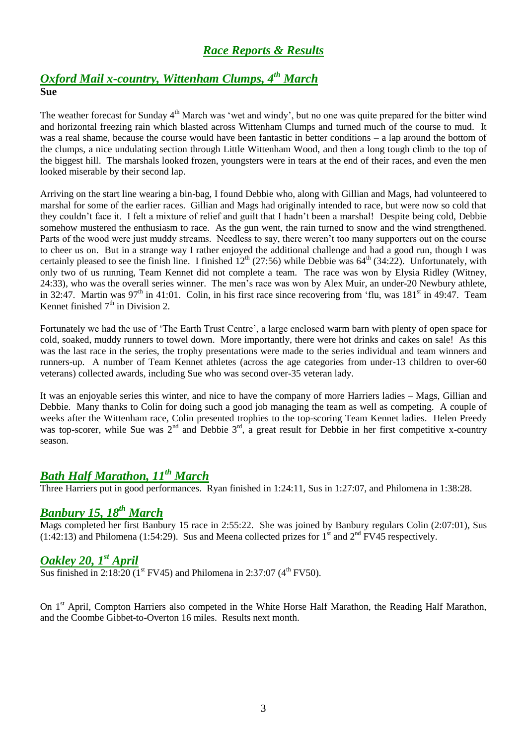# *Race Reports & Results*

# *Oxford Mail x-country, Wittenham Clumps, 4 th March* **Sue**

The weather forecast for Sunday 4<sup>th</sup> March was 'wet and windy', but no one was quite prepared for the bitter wind and horizontal freezing rain which blasted across Wittenham Clumps and turned much of the course to mud. It was a real shame, because the course would have been fantastic in better conditions – a lap around the bottom of the clumps, a nice undulating section through Little Wittenham Wood, and then a long tough climb to the top of the biggest hill. The marshals looked frozen, youngsters were in tears at the end of their races, and even the men looked miserable by their second lap.

Arriving on the start line wearing a bin-bag, I found Debbie who, along with Gillian and Mags, had volunteered to marshal for some of the earlier races. Gillian and Mags had originally intended to race, but were now so cold that they couldn't face it. I felt a mixture of relief and guilt that I hadn't been a marshal! Despite being cold, Debbie somehow mustered the enthusiasm to race. As the gun went, the rain turned to snow and the wind strengthened. Parts of the wood were just muddy streams. Needless to say, there weren't too many supporters out on the course to cheer us on. But in a strange way I rather enjoyed the additional challenge and had a good run, though I was certainly pleased to see the finish line. I finished  $12^{th}$  (27:56) while Debbie was  $64^{th}$  (34:22). Unfortunately, with only two of us running, Team Kennet did not complete a team. The race was won by Elysia Ridley (Witney, 24:33), who was the overall series winner. The men's race was won by Alex Muir, an under-20 Newbury athlete, in 32:47. Martin was  $97<sup>th</sup>$  in 41:01. Colin, in his first race since recovering from 'flu, was  $181<sup>st</sup>$  in 49:47. Team Kennet finished  $7<sup>th</sup>$  in Division 2.

Fortunately we had the use of 'The Earth Trust Centre', a large enclosed warm barn with plenty of open space for cold, soaked, muddy runners to towel down. More importantly, there were hot drinks and cakes on sale! As this was the last race in the series, the trophy presentations were made to the series individual and team winners and runners-up. A number of Team Kennet athletes (across the age categories from under-13 children to over-60 veterans) collected awards, including Sue who was second over-35 veteran lady.

It was an enjoyable series this winter, and nice to have the company of more Harriers ladies – Mags, Gillian and Debbie. Many thanks to Colin for doing such a good job managing the team as well as competing. A couple of weeks after the Wittenham race, Colin presented trophies to the top-scoring Team Kennet ladies. Helen Preedy was top-scorer, while Sue was  $2^{nd}$  and Debbie  $3^{rd}$ , a great result for Debbie in her first competitive x-country season.

# *Bath Half Marathon, 11th March*

Three Harriers put in good performances. Ryan finished in 1:24:11, Sus in 1:27:07, and Philomena in 1:38:28.

# *Banbury 15, 18th March*

Mags completed her first Banbury 15 race in 2:55:22. She was joined by Banbury regulars Colin (2:07:01), Sus  $(1:42:13)$  and Philomena (1:54:29). Sus and Meena collected prizes for 1<sup>st</sup> and  $2<sup>nd</sup>$  FV45 respectively.

# *Oakley 20, 1 st April*

Sus finished in  $2:18:20$  (1<sup>st</sup> FV45) and Philomena in  $2:37:07$  (4<sup>th</sup> FV50).

On 1<sup>st</sup> April, Compton Harriers also competed in the White Horse Half Marathon, the Reading Half Marathon, and the Coombe Gibbet-to-Overton 16 miles. Results next month.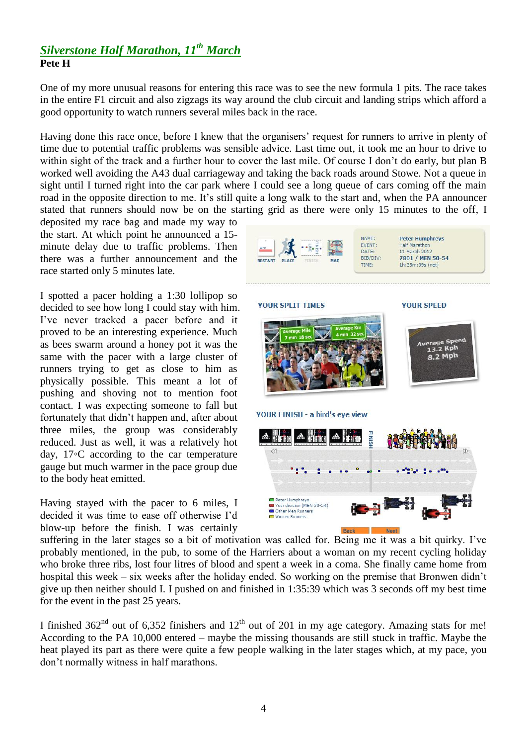## *Silverstone Half Marathon, 11th March* **Pete H**

One of my more unusual reasons for entering this race was to see the new formula 1 pits. The race takes in the entire F1 circuit and also zigzags its way around the club circuit and landing strips which afford a good opportunity to watch runners several miles back in the race.

Having done this race once, before I knew that the organisers' request for runners to arrive in plenty of time due to potential traffic problems was sensible advice. Last time out, it took me an hour to drive to within sight of the track and a further hour to cover the last mile. Of course I don't do early, but plan B worked well avoiding the A43 dual carriageway and taking the back roads around Stowe. Not a queue in sight until I turned right into the car park where I could see a long queue of cars coming off the main road in the opposite direction to me. It's still quite a long walk to the start and, when the PA announcer stated that runners should now be on the starting grid as there were only 15 minutes to the off, I

deposited my race bag and made my way to the start. At which point he announced a 15 minute delay due to traffic problems. Then there was a further announcement and the race started only 5 minutes late.

I spotted a pacer holding a 1:30 lollipop so decided to see how long I could stay with him. I've never tracked a pacer before and it proved to be an interesting experience. Much as bees swarm around a honey pot it was the same with the pacer with a large cluster of runners trying to get as close to him as physically possible. This meant a lot of pushing and shoving not to mention foot contact. I was expecting someone to fall but fortunately that didn't happen and, after about three miles, the group was considerably reduced. Just as well, it was a relatively hot day, 17◦C according to the car temperature gauge but much warmer in the pace group due to the body heat emitted.

Having stayed with the pacer to 6 miles, I decided it was time to ease off otherwise I'd blow-up before the finish. I was certainly



Back

suffering in the later stages so a bit of motivation was called for. Being me it was a bit quirky. I've probably mentioned, in the pub, to some of the Harriers about a woman on my recent cycling holiday who broke three ribs, lost four litres of blood and spent a week in a coma. She finally came home from hospital this week – six weeks after the holiday ended. So working on the premise that Bronwen didn't give up then neither should I. I pushed on and finished in 1:35:39 which was 3 seconds off my best time for the event in the past 25 years.

I finished  $362<sup>nd</sup>$  out of 6,352 finishers and  $12<sup>th</sup>$  out of 201 in my age category. Amazing stats for me! According to the PA 10,000 entered – maybe the missing thousands are still stuck in traffic. Maybe the heat played its part as there were quite a few people walking in the later stages which, at my pace, you don't normally witness in half marathons.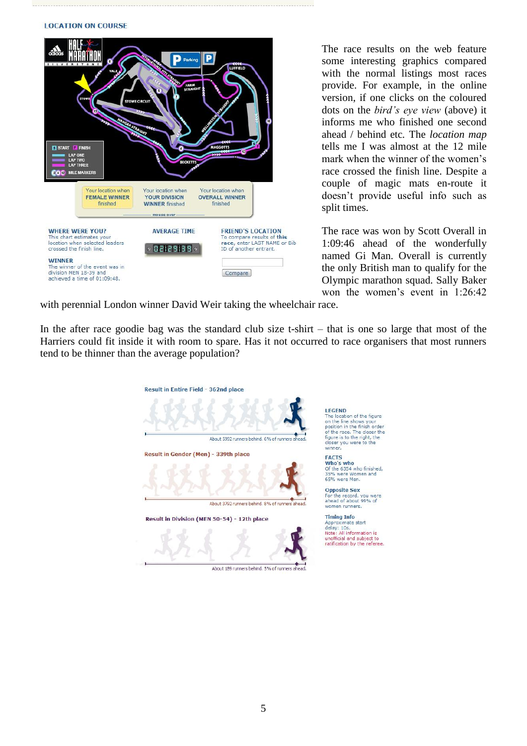#### **LOCATION ON COURSE**



The race results on the web feature some interesting graphics compared with the normal listings most races provide. For example, in the online version, if one clicks on the coloured dots on the *bird's eye view* (above) it informs me who finished one second ahead / behind etc*.* The *location map*  tells me I was almost at the 12 mile mark when the winner of the women's race crossed the finish line. Despite a couple of magic mats en-route it doesn't provide useful info such as split times.

The race was won by Scott Overall in 1:09:46 ahead of the wonderfully named Gi Man. Overall is currently the only British man to qualify for the Olympic marathon squad. Sally Baker won the women's event in 1:26:42

with perennial London winner David Weir taking the wheelchair race.

In the after race goodie bag was the standard club size t-shirt – that is one so large that most of the Harriers could fit inside it with room to spare. Has it not occurred to race organisers that most runners tend to be thinner than the average population?

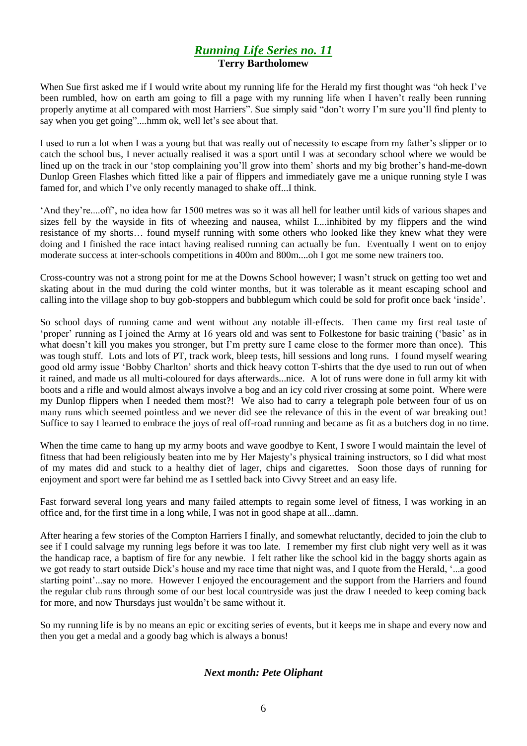### *Running Life Series no. 11* **Terry Bartholomew**

When Sue first asked me if I would write about my running life for the Herald my first thought was "oh heck I've been rumbled, how on earth am going to fill a page with my running life when I haven't really been running properly anytime at all compared with most Harriers". Sue simply said "don't worry I'm sure you'll find plenty to say when you get going"....hmm ok, well let's see about that.

I used to run a lot when I was a young but that was really out of necessity to escape from my father's slipper or to catch the school bus, I never actually realised it was a sport until I was at secondary school where we would be lined up on the track in our 'stop complaining you'll grow into them' shorts and my big brother's hand-me-down Dunlop Green Flashes which fitted like a pair of flippers and immediately gave me a unique running style I was famed for, and which I've only recently managed to shake off...I think.

'And they're....off', no idea how far 1500 metres was so it was all hell for leather until kids of various shapes and sizes fell by the wayside in fits of wheezing and nausea, whilst I....inhibited by my flippers and the wind resistance of my shorts… found myself running with some others who looked like they knew what they were doing and I finished the race intact having realised running can actually be fun. Eventually I went on to enjoy moderate success at inter-schools competitions in 400m and 800m....oh I got me some new trainers too.

Cross-country was not a strong point for me at the Downs School however; I wasn't struck on getting too wet and skating about in the mud during the cold winter months, but it was tolerable as it meant escaping school and calling into the village shop to buy gob-stoppers and bubblegum which could be sold for profit once back 'inside'.

So school days of running came and went without any notable ill-effects. Then came my first real taste of 'proper' running as I joined the Army at 16 years old and was sent to Folkestone for basic training ('basic' as in what doesn't kill you makes you stronger, but I'm pretty sure I came close to the former more than once). This was tough stuff. Lots and lots of PT, track work, bleep tests, hill sessions and long runs. I found myself wearing good old army issue 'Bobby Charlton' shorts and thick heavy cotton T-shirts that the dye used to run out of when it rained, and made us all multi-coloured for days afterwards...nice. A lot of runs were done in full army kit with boots and a rifle and would almost always involve a bog and an icy cold river crossing at some point. Where were my Dunlop flippers when I needed them most?! We also had to carry a telegraph pole between four of us on many runs which seemed pointless and we never did see the relevance of this in the event of war breaking out! Suffice to say I learned to embrace the joys of real off-road running and became as fit as a butchers dog in no time.

When the time came to hang up my army boots and wave goodbye to Kent, I swore I would maintain the level of fitness that had been religiously beaten into me by Her Majesty's physical training instructors, so I did what most of my mates did and stuck to a healthy diet of lager, chips and cigarettes. Soon those days of running for enjoyment and sport were far behind me as I settled back into Civvy Street and an easy life.

Fast forward several long years and many failed attempts to regain some level of fitness, I was working in an office and, for the first time in a long while, I was not in good shape at all...damn.

After hearing a few stories of the Compton Harriers I finally, and somewhat reluctantly, decided to join the club to see if I could salvage my running legs before it was too late. I remember my first club night very well as it was the handicap race, a baptism of fire for any newbie. I felt rather like the school kid in the baggy shorts again as we got ready to start outside Dick's house and my race time that night was, and I quote from the Herald, '...a good starting point'...say no more. However I enjoyed the encouragement and the support from the Harriers and found the regular club runs through some of our best local countryside was just the draw I needed to keep coming back for more, and now Thursdays just wouldn't be same without it.

So my running life is by no means an epic or exciting series of events, but it keeps me in shape and every now and then you get a medal and a goody bag which is always a bonus!

#### *Next month: Pete Oliphant*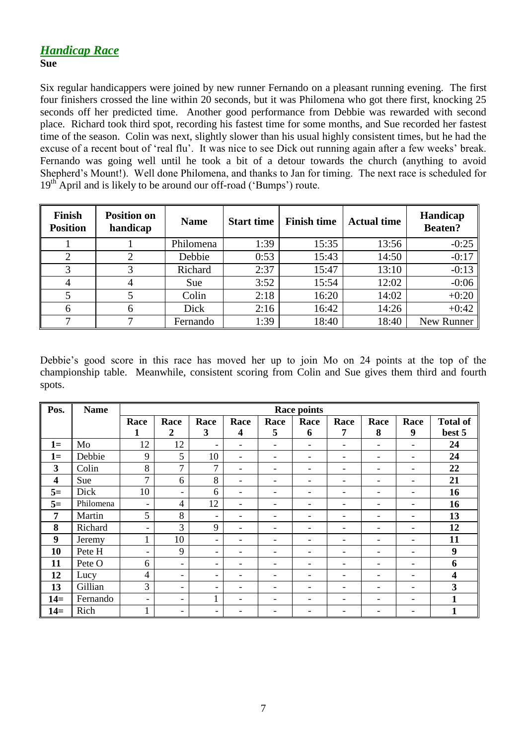### *Handicap Race* **Sue**

Six regular handicappers were joined by new runner Fernando on a pleasant running evening. The first four finishers crossed the line within 20 seconds, but it was Philomena who got there first, knocking 25 seconds off her predicted time. Another good performance from Debbie was rewarded with second place. Richard took third spot, recording his fastest time for some months, and Sue recorded her fastest time of the season. Colin was next, slightly slower than his usual highly consistent times, but he had the excuse of a recent bout of 'real flu'. It was nice to see Dick out running again after a few weeks' break. Fernando was going well until he took a bit of a detour towards the church (anything to avoid Shepherd's Mount!). Well done Philomena, and thanks to Jan for timing. The next race is scheduled for  $19<sup>th</sup>$  April and is likely to be around our off-road ('Bumps') route.

| Finish<br><b>Position</b> | <b>Position on</b><br>handicap | <b>Name</b> | <b>Start time</b> | <b>Finish time</b> | <b>Actual time</b> | Handicap<br><b>Beaten?</b> |
|---------------------------|--------------------------------|-------------|-------------------|--------------------|--------------------|----------------------------|
|                           |                                | Philomena   | 1:39              | 15:35              | 13:56              | $-0:25$                    |
|                           |                                | Debbie      | 0:53              | 15:43              | 14:50              | $-0:17$                    |
| 3                         |                                | Richard     | 2:37              | 15:47              | 13:10              | $-0:13$                    |
| 4                         |                                | Sue         | 3:52              | 15:54              | 12:02              | $-0:06$                    |
|                           |                                | Colin       | 2:18              | 16:20              | 14:02              | $+0:20$                    |
| 6                         | 6                              | Dick        | 2:16              | 16:42              | 14:26              | $+0:42$                    |
| 7                         |                                | Fernando    | 1:39              | 18:40              | 18:40              | New Runner                 |

Debbie's good score in this race has moved her up to join Mo on 24 points at the top of the championship table. Meanwhile, consistent scoring from Colin and Sue gives them third and fourth spots.

| Pos.         | <b>Name</b> | <b>Race points</b>       |                          |                          |                              |                              |                          |                          |                          |      |                 |
|--------------|-------------|--------------------------|--------------------------|--------------------------|------------------------------|------------------------------|--------------------------|--------------------------|--------------------------|------|-----------------|
|              |             | Race                     | Race                     | Race                     | Race                         | Race                         | Race                     | Race                     | Race                     | Race | <b>Total of</b> |
|              |             | 1                        | 2                        | 3                        | 4                            | 5                            | 6                        | 7                        | 8                        | 9    | best 5          |
| $1=$         | Mo          | 12                       | 12                       | $\overline{\phantom{a}}$ | $\overline{\phantom{a}}$     | -                            | $\overline{\phantom{0}}$ | $\overline{\phantom{0}}$ | $\qquad \qquad -$        | ۰    | 24              |
| $1=$         | Debbie      | 9                        | 5                        | 10                       | $\overline{\phantom{a}}$     | $\qquad \qquad \blacksquare$ | -                        | $\overline{\phantom{0}}$ | $\overline{\phantom{0}}$ | ۰    | 24              |
| $\mathbf{3}$ | Colin       | 8                        | 7                        | $\overline{7}$           | -                            | ۰                            | -                        |                          | ۰                        | ۰    | 22              |
| 4            | Sue         | $\overline{7}$           | 6                        | 8                        | $\qquad \qquad \blacksquare$ | ۰                            | -                        |                          |                          | ۰    | 21              |
| $5=$         | Dick        | 10                       | $\blacksquare$           | 6                        | $\qquad \qquad -$            | ۰                            | -                        |                          |                          | ۰    | 16              |
| $5=$         | Philomena   | $\overline{\phantom{a}}$ | 4                        | 12                       | $\overline{\phantom{a}}$     | ۰                            | -                        |                          | $\overline{\phantom{0}}$ | ۰    | 16              |
| 7            | Martin      | 5                        | 8                        | $\overline{\phantom{a}}$ | $\qquad \qquad -$            | ۰                            |                          |                          |                          | ۰    | 13              |
| 8            | Richard     | $\overline{\phantom{a}}$ | 3                        | 9                        | $\overline{\phantom{a}}$     |                              |                          |                          |                          | ۰    | 12              |
| 9            | Jeremy      | $\mathbf{1}$             | 10                       | $\overline{\phantom{a}}$ | $\overline{\phantom{0}}$     | ۰                            | -                        |                          |                          | ۰    | 11              |
| 10           | Pete H      | $\overline{\phantom{a}}$ | 9                        | $\overline{\phantom{a}}$ | -                            | ۰                            |                          |                          |                          | ۰    | 9               |
| 11           | Pete O      | 6                        | $\overline{\phantom{a}}$ | $\overline{\phantom{a}}$ | $\overline{\phantom{a}}$     | -                            | -                        |                          | $\overline{\phantom{0}}$ | ۰    | 6               |
| 12           | Lucy        | $\overline{4}$           | $\overline{\phantom{a}}$ | $\overline{\phantom{a}}$ | $\overline{\phantom{0}}$     | ۰                            |                          |                          |                          | ۰    | 4               |
| 13           | Gillian     | 3                        | $\blacksquare$           | $\overline{\phantom{a}}$ | ۰                            | -                            | -                        |                          |                          | ۰    | 3               |
| $14=$        | Fernando    | $\overline{\phantom{a}}$ | $\overline{\phantom{a}}$ |                          | -                            |                              |                          |                          |                          | ۰    | $\mathbf{1}$    |
| $14=$        | Rich        | ı                        | $\overline{\phantom{0}}$ | $\overline{\phantom{a}}$ |                              |                              |                          |                          |                          | -    |                 |